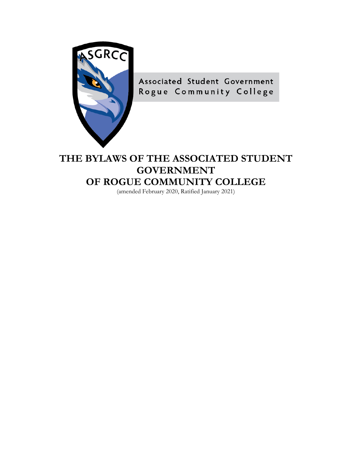

Associated Student Government Rogue Community College

# **THE BYLAWS OF THE ASSOCIATED STUDENT GOVERNMENT OF ROGUE COMMUNITY COLLEGE**

(amended February 2020, Ratified January 2021)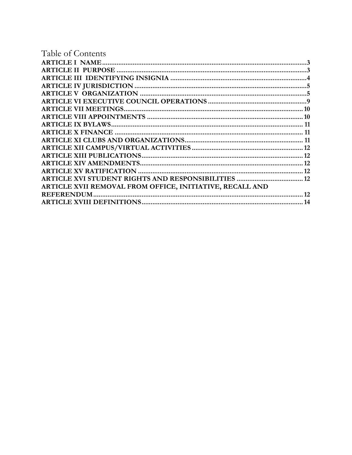| Table of Contents                                               |    |
|-----------------------------------------------------------------|----|
|                                                                 |    |
|                                                                 |    |
|                                                                 |    |
|                                                                 |    |
|                                                                 |    |
|                                                                 |    |
|                                                                 |    |
|                                                                 |    |
|                                                                 |    |
|                                                                 |    |
|                                                                 |    |
|                                                                 |    |
|                                                                 |    |
|                                                                 |    |
|                                                                 |    |
| <b>ARTICLE XVI STUDENT RIGHTS AND RESPONSIBILITIES  12</b>      |    |
| <b>ARTICLE XVII REMOVAL FROM OFFICE, INITIATIVE, RECALL AND</b> |    |
| <b>REFERENDUM</b>                                               | 12 |
|                                                                 | 14 |
|                                                                 |    |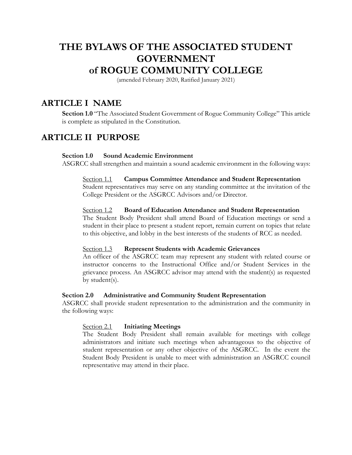# **THE BYLAWS OF THE ASSOCIATED STUDENT GOVERNMENT of ROGUE COMMUNITY COLLEGE**

(amended February 2020, Ratified January 2021)

# <span id="page-2-0"></span>**ARTICLE I NAME**

**Section 1.0** "The Associated Student Government of Rogue Community College" This article is complete as stipulated in the Constitution.

# <span id="page-2-1"></span> **ARTICLE II PURPOSE**

#### **Section 1.0 Sound Academic Environment**

ASGRCC shall strengthen and maintain a sound academic environment in the following ways:

#### Section 1.1 **Campus Committee Attendance and Student Representation**

College President or the ASGRCC Advisors and/or Director. Student representatives may serve on any standing committee at the invitation of the

#### Section 1.2 Board of Education Attendance and Student Representation

 to this objective, and lobby in the best interests of the students of RCC as needed. Section 1.3 **Represent Students with Academic Grievances**  The Student Body President shall attend Board of Education meetings or send a student in their place to present a student report, remain current on topics that relate

#### Section 1.3

 An officer of the ASGRCC team may represent any student with related course or instructor concerns to the Instructional Office and/or Student Services in the grievance process. An ASGRCC advisor may attend with the student(s) as requested by student(s).

#### **Section 2.0 Administrative and Community Student Representation**

ASGRCC shall provide student representation to the administration and the community in the following ways:

#### Section 2.1 **Initiating Meetings**

 Student Body President is unable to meet with administration an ASGRCC council representative may attend in their place. The Student Body President shall remain available for meetings with college administrators and initiate such meetings when advantageous to the objective of student representation or any other objective of the ASGRCC. In the event the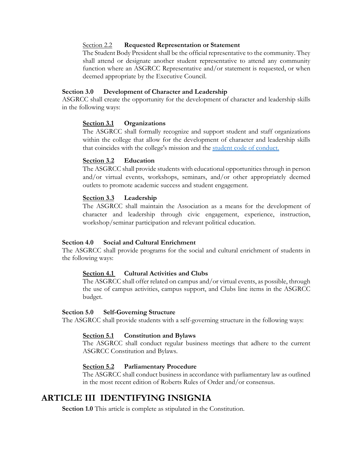#### Section 2.2 **Requested Representation or Statement**

 deemed appropriate by the Executive Council. The Student Body President shall be the official representative to the community. They shall attend or designate another student representative to attend any community function where an ASGRCC Representative and/or statement is requested, or when

#### **Section 3.0 Development of Character and Leadership**

 ASGRCC shall create the opportunity for the development of character and leadership skills in the following ways:

#### **Section 3.1 Organizations**

The ASGRCC shall formally recognize and support student and staff organizations within the college that allow for the development of character and leadership skills that coincides with the college's mission and the [student code of conduct.](https://web.roguecc.edu/board-policies/ap-5500-standards-student-conduct) 

#### **Section 3.2 Education**

 outlets to promote academic success and student engagement. The ASGRCC shall provide students with educational opportunities through in person and/or virtual events, workshops, seminars, and/or other appropriately deemed

## **Section 3.3 Leadership**

The ASGRCC shall maintain the Association as a means for the development of character and leadership through civic engagement, experience, instruction, workshop/seminar participation and relevant political education.

#### **Section 4.0 Social and Cultural Enrichment**

The ASGRCC shall provide programs for the social and cultural enrichment of students in the following ways:

#### **Section 4.1 Cultural Activities and Clubs**

 budget. The ASGRCC shall offer related on campus and/or virtual events, as possible, through the use of campus activities, campus support, and Clubs line items in the ASGRCC

#### **Section 5.0 Self-Governing Structure**

The ASGRCC shall provide students with a self-governing structure in the following ways:

#### **Section 5.1 Constitution and Bylaws**

 ASGRCC Constitution and Bylaws. The ASGRCC shall conduct regular business meetings that adhere to the current

#### **Section 5.2 Parliamentary Procedure**

 in the most recent edition of Roberts Rules of Order and/or consensus. The ASGRCC shall conduct business in accordance with parliamentary law as outlined

# <span id="page-3-0"></span> **ARTICLE III IDENTIFYING INSIGNIA**

**Section 1.0** This article is complete as stipulated in the Constitution.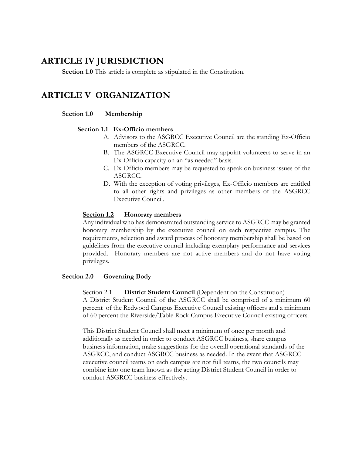# <span id="page-4-0"></span>**ARTICLE IV JURISDICTION**

**Section 1.0** This article is complete as stipulated in the Constitution.

# <span id="page-4-1"></span>**ARTICLE V ORGANIZATION**

#### **Section 1.0 Membership**

## **Section 1.1 Ex-Officio members**

- A. Advisors to the ASGRCC Executive Council are the standing Ex-Officio members of the ASGRCC.
- B. The ASGRCC Executive Council may appoint volunteers to serve in an Ex-Officio capacity on an "as needed" basis.
- ASGRCC. C. Ex-Officio members may be requested to speak on business issues of the
- to all other rights and privileges as other members of the ASGRCC D. With the exception of voting privileges, Ex-Officio members are entitled Executive Council.

#### **Section 1.2 Honorary members**

 requirements, selection and award process of honorary membership shall be based on provided. Honorary members are not active members and do not have voting Any individual who has demonstrated outstanding service to ASGRCC may be granted honorary membership by the executive council on each respective campus. The guidelines from the executive council including exemplary performance and services privileges.

#### **Section 2.0 Governing Body**

**District Student Council** (Dependent on the Constitution) Section 2.1 **District Student Council** (Dependent on the Constitution) A District Student Council of the ASGRCC shall be comprised of a minimum 60 percent of the Redwood Campus Executive Council existing officers and a minimum of 60 percent the Riverside/Table Rock Campus Executive Council existing officers.

 ASGRCC, and conduct ASGRCC business as needed. In the event that ASGRCC conduct ASGRCC business effectively. This District Student Council shall meet a minimum of once per month and additionally as needed in order to conduct ASGRCC business, share campus business information, make suggestions for the overall operational standards of the executive council teams on each campus are not full teams, the two councils may combine into one team known as the acting District Student Council in order to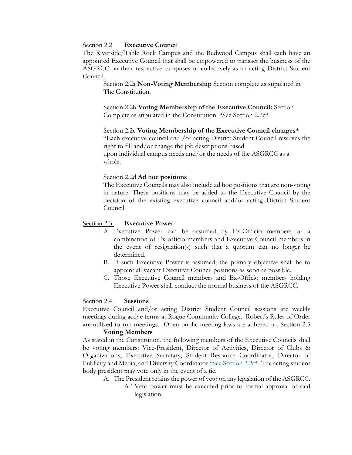#### Section 2.2 **Executive Council**

 ASGRCC on their respective campuses or collectively as an acting District Student Council. The Riverside/Table Rock Campus and the Redwood Campus shall each have an appointed Executive Council that shall be empowered to transact the business of the

 Council. Section 2.2a **Non-Voting Membership** Section complete as stipulated in The Constitution.

Section 2.2b **Voting Membership of the Executive Council:** Section Complete as stipulated in the Constitution. \*See Section 2.2c\*

 upon individual campus needs and/or the needs of the ASGRCC as a Section 2.2c **Voting Membership of the Executive Council changes\***  \*Each executive council and /or acting District Student Council reserves the right to fill and/or change the job descriptions based whole.

#### Section 2.2d **Ad hoc positions**

The Executive Councils may also include ad hoc positions that are non-voting in nature. These positions may be added to the Executive Council by the decision of the existing executive council and/or acting District Student Council.

#### Section 2.3 **Executive Power**

- combination of Ex-officio members and Executive Council members in A. Executive Power can be assumed by Ex-Officio members or a the event of resignation(s) such that a quorum can no longer be determined.
- appoint all vacant Executive Council positions as soon as possible. B. If such Executive Power is assumed, the primary objective shall be to
- Executive Power shall conduct the normal business of the ASGRCC. Section 2.4 **Sessions**  C. Those Executive Council members and Ex-Officio members holding

 meetings during active terms at Rogue Community College. Robert's Rules of Order Executive Council and/or acting District Student Council sessions are weekly are utilized to run meetings. Open public meeting laws are adhered to. Section 2.5

#### **Voting Members**

As stated in the Constitution, the following members of the Executive Councils shall be voting members: Vice-President, Director of Activities, Director of Clubs & Organizations, Executive Secretary, Student Resource Coordinator, Director of Publicity and Media, and Diversity Coordinator \*See Section 2.2c\*. The acting student body president may vote only in the event of a tie.

- A. The President retains the power of veto on any legislation of the ASGRCC. A.1 Veto power must be executed prior to formal approval of said
	- legislation.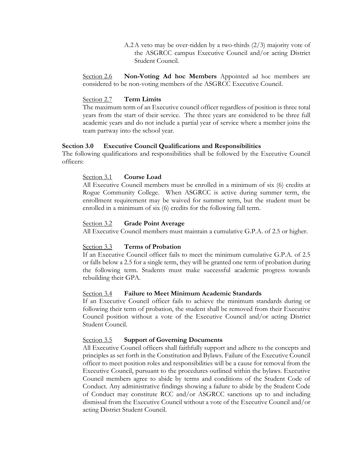Student Council. A.2 A veto may be over-ridden by a two-thirds (2/3) majority vote of the ASGRCC campus Executive Council and/or acting District

 considered to be non-voting members of the ASGRCC Executive Council. Section 2.7 **Term Limits**  Section 2.6 **Non-Voting Ad hoc Members** Appointed ad hoc members are

#### Section 2.7

 years from the start of their service. The three years are considered to be three full The maximum term of an Executive council officer regardless of position is three total academic years and do not include a partial year of service where a member joins the team partway into the school year.

#### **Section 3.0 Executive Council Qualifications and Responsibilities**

The following qualifications and responsibilities shall be followed by the Executive Council officers:

## Section 3.1 **Course Load**

 All Executive Council members must be enrolled in a minimum of six (6) credits at Rogue Community College. When ASGRCC is active during summer term, the enrollment requirement may be waived for summer term, but the student must be enrolled in a minimum of six (6) credits for the following fall term.

#### Section 3.2 **Grade Point Average**

All Executive Council members must maintain a cumulative G.P.A. of 2.5 or higher.

## Section 3.3 **Terms of Probation**

 If an Executive Council officer fails to meet the minimum cumulative G.P.A. of 2.5 or falls below a 2.5 for a single term, they will be granted one term of probation during the following term. Students must make successful academic progress towards rebuilding their GPA.

#### Section 3.4 **Failure to Meet Minimum Academic Standards**

 following their term of probation, the student shall be removed from their Executive Student Council. If an Executive Council officer fails to achieve the minimum standards during or Council position without a vote of the Executive Council and/or acting District

# Student Council.<br><u>Section 3.5</u> **Support of Governing Documents**

 Executive Council, pursuant to the procedures outlined within the bylaws. Executive acting District Student Council. All Executive Council officers shall faithfully support and adhere to the concepts and principles as set forth in the Constitution and Bylaws. Failure of the Executive Council officer to meet position roles and responsibilities will be a cause for removal from the Council members agree to abide by terms and conditions of the Student Code of Conduct. Any administrative findings showing a failure to abide by the Student Code of Conduct may constitute RCC and/or ASGRCC sanctions up to and including dismissal from the Executive Council without a vote of the Executive Council and/or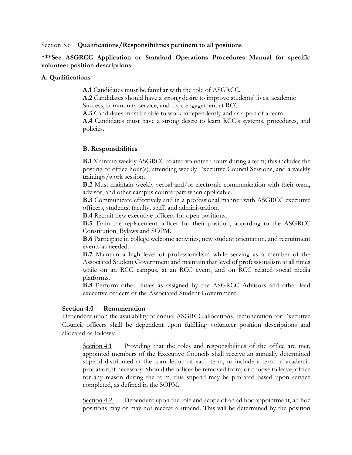Section 3.6 **Qualifications/Responsibilities pertinent to all positions** 

#### **\*\*\*See ASGRCC Application or Standard Operations Procedures Manual for specific volunteer position descriptions**

#### **A. Qualifications**

**A.1** Candidates must be familiar with the role of ASGRCC.

 Success, community service, and civic engagement at RCC. **A.2** Candidates should have a strong desire to improve students' lives, academic

**A.3** Candidates must be able to work independently and as a part of a team

**A.4** Candidates must have a strong desire to learn RCC's systems, procedures, and policies.

#### **B. Responsibilities**

 trainings/work session. **B.1** Maintain weekly ASGRCC related volunteer hours during a term; this includes the posting of office hour(s), attending weekly Executive Council Sessions, and a weekly

 **B.2** Must maintain weekly verbal and/or electronic communication with their team, advisor, and other campus counterpart when applicable.

 **B.3** Communicate effectively and in a professional manner with ASGRCC executive officers, students, faculty, staff, and administration.

**B.4** Recruit new executive officers for open positions.

 **B.5** Train the replacement officer for their position, according to the ASGRCC Constitution, Bylaws and SOPM.

**B.6** Participate in college welcome activities, new student orientation, and recruitment events as needed.

**B.7** Maintain a high level of professionalism while serving as a member of the Associated Student Government and maintain that level of professionalism at all times while on an RCC campus, at an RCC event, and on RCC related social media platforms.

**B.8** Perform other duties as assigned by the ASGRCC Advisors and other lead executive officers of the Associated Student Government.

#### **Section 4.0 Remuneration**

Dependent upon the availability of annual ASGRCC allocations, remuneration for Executive Council officers shall be dependent upon fulfilling volunteer position descriptions and allocated as follows:

Section 4.1 Providing that the roles and responsibilities of the office are met, stipend distributed at the completion of each term, to include a term of academic appointed members of the Executive Councils shall receive an annually determined probation, if necessary. Should the officer be removed from, or choose to leave, office for any reason during the term, this stipend may be prorated based upon service completed, as defined in the SOPM.

Section 4.2 Dependent upon the role and scope of an ad hoc appointment, ad hoc positions may or may not receive a stipend. This will be determined by the position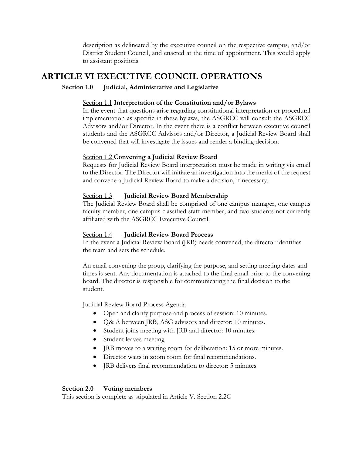District Student Council, and enacted at the time of appointment. This would apply description as delineated by the executive council on the respective campus, and/or to assistant positions.

## <span id="page-8-0"></span>**ARTICLE VI EXECUTIVE COUNCIL OPERATIONS**

## **Section 1.0 Judicial, Administrative and Legislative**

#### Section 1.1 **Interpretation of the Constitution and/or Bylaws**

 In the event that questions arise regarding constitutional interpretation or procedural implementation as specific in these bylaws, the ASGRCC will consult the ASGRCC Advisors and/or Director. In the event there is a conflict between executive council students and the ASGRCC Advisors and/or Director, a Judicial Review Board shall be convened that will investigate the issues and render a binding decision.

## Section 1.2 **Convening a Judicial Review Board**

 Requests for Judicial Review Board interpretation must be made in writing via email to the Director*.* The Director will initiate an investigation into the merits of the request and convene a Judicial Review Board to make a decision, if necessary.

#### Section 1.3 **Judicial Review Board Membership**

The Judicial Review Board shall be comprised of one campus manager, one campus faculty member, one campus classified staff member, and two students not currently affiliated with the ASGRCC Executive Council.

#### Section 1.4 **Judicial Review Board Process**

In the event a Judicial Review Board (JRB) needs convened, the director identifies the team and sets the schedule.

An email convening the group, clarifying the purpose, and setting meeting dates and times is sent. Any documentation is attached to the final email prior to the convening board. The director is responsible for communicating the final decision to the student.

Judicial Review Board Process Agenda

- Open and clarify purpose and process of session: 10 minutes.
- Q& A between JRB, ASG advisors and director: 10 minutes.
- Student joins meeting with JRB and director: 10 minutes.
- Student leaves meeting
- IRB moves to a waiting room for deliberation: 15 or more minutes.
- Director waits in zoom room for final recommendations.
- JRB delivers final recommendation to director: 5 minutes.

## **Section 2.0 Voting members**

This section is complete as stipulated in Article V. Section 2.2C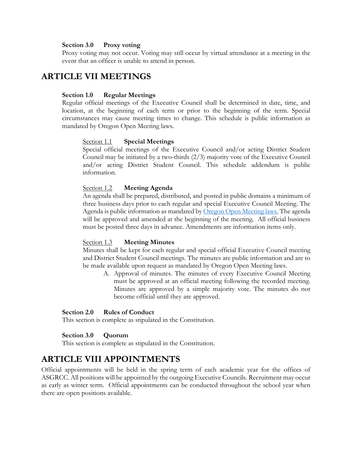#### **Section 3.0 Proxy voting**

 Proxy voting may not occur. Voting may still occur by virtual attendance at a meeting in the event that an officer is unable to attend in person.

## <span id="page-9-0"></span>**ARTICLE VII MEETINGS**

#### **Section 1.0 Regular Meetings**

Regular official meetings of the Executive Council shall be determined in date, time, and location, at the beginning of each term or prior to the beginning of the term. Special circumstances may cause meeting times to change. This schedule is public information as mandated by Oregon Open Meeting laws.

#### Section 1.1 **Special Meetings**

information Special official meetings of the Executive Council and/or acting District Student Council may be initiated by a two-thirds (2/3) majority vote of the Executive Council and/or acting District Student Council. This schedule addendum is public

# information. Section 1.2 **Meeting Agenda**

 will be approved and amended at the beginning of the meeting. All official business An agenda shall be prepared, distributed, and posted in public domains a minimum of three business days prior to each regular and special Executive Council Meeting. The Agenda is public information as mandated by [Oregon Open Meeting laws. T](https://www.doj.state.or.us/oregon-department-of-justice/public-records/attorney-generals-public-records-and-meetings-manual/ii-public-meetings/#_Toc11743461)he agenda must be posted three days in advance. Amendments are information items only.

#### Section 1.3 **Meeting Minutes**

Minutes shall be kept for each regular and special official Executive Council meeting and District Student Council meetings. The minutes are public information and are to be made available upon request as mandated by Oregon Open Meeting laws.

A. Approval of minutes. The minutes of every Executive Council Meeting must be approved at an official meeting following the recorded meeting. Minutes are approved by a simple majority vote. The minutes do not become official until they are approved.

#### **Section 2.0 Rules of Conduct**

This section is complete as stipulated in the Constitution.

#### **Section 3.0 Quorum**

 This section is complete as stipulated in the Constitution.

# <span id="page-9-1"></span> **ARTICLE VIII APPOINTMENTS**

 ASGRCC. All positions will be appointed by the outgoing Executive Councils. Recruitment may occur Official appointments will be held in the spring term of each academic year for the offices of as early as winter term. Official appointments can be conducted throughout the school year when there are open positions available.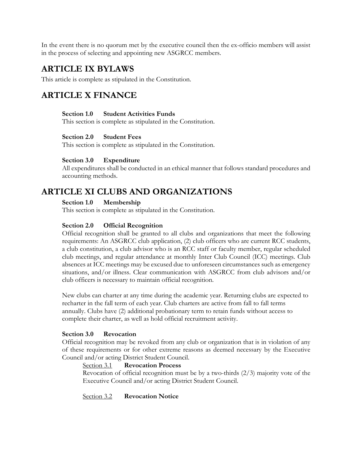In the event there is no quorum met by the executive council then the ex-officio members will assist in the process of selecting and appointing new ASGRCC members.

# <span id="page-10-0"></span>**ARTICLE IX BYLAWS**

<span id="page-10-1"></span>This article is complete as stipulated in the Constitution.

# **ARTICLE X FINANCE**

#### **Section 1.0 Student Activities Funds**

This section is complete as stipulated in the Constitution.

#### **Section 2.0 Student Fees**

This section is complete as stipulated in the Constitution.

## **Section 3.0 Expenditure**

All expenditures shall be conducted in an ethical manner that follows standard procedures and accounting methods.

# <span id="page-10-2"></span>**ARTICLE XI CLUBS AND ORGANIZATIONS**

**Section 1.0 Membership** 

This section is complete as stipulated in the Constitution.

## **Section 2.0 Official Recognition**

 club meetings, and regular attendance at monthly Inter Club Council (ICC) meetings. Club Official recognition shall be granted to all clubs and organizations that meet the following requirements: An ASGRCC club application, (2) club officers who are current RCC students, a club constitution, a club advisor who is an RCC staff or faculty member, regular scheduled absences at ICC meetings may be excused due to unforeseen circumstances such as emergency situations, and/or illness. Clear communication with ASGRCC from club advisors and/or club officers is necessary to maintain official recognition.

 New clubs can charter at any time during the academic year. Returning clubs are expected to recharter in the fall term of each year. Club charters are active from fall to fall terms annually. Clubs have (2) additional probationary term to retain funds without access to complete their charter, as well as hold official recruitment activity.

#### **Section 3.0 Revocation**

 Council and/or acting District Student Council. Section 3.1 **Revocation Process** Official recognition may be revoked from any club or organization that is in violation of any of these requirements or for other extreme reasons as deemed necessary by the Executive

#### **Revocation Process**

 Revocation of official recognition must be by a two-thirds (2/3) majority vote of the Executive Council and/or acting District Student Council.

Section 3.2 **Revocation Notice**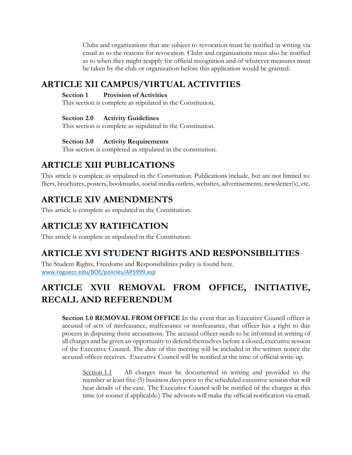Clubs and organizations that are subject to revocation must be notified in writing via email as to the reasons for revocation. Clubs and organizations must also be notified as to when they might reapply for official recognition and of whatever measures must be taken by the club or organization before this application would be granted.

# <span id="page-11-0"></span>**ARTICLE XII CAMPUS/VIRTUAL ACTIVITIES**

## **Section 1 Provision of Activities**

This section is complete as stipulated in the Constitution.

## **Section 2.0 Activity Guidelines**

This section is complete as stipulated in the Constitution.

## **Section 3.0 Activity Requirements**

This section is completed as stipulated in the constitution.

# <span id="page-11-1"></span>**ARTICLE XIII PUBLICATIONS**

 fliers, brochures, posters, bookmarks, social media outlets, websites, advertisements, newsletter(s), etc. This article is complete as stipulated in the Constitution. Publications include, but are not limited to:

# <span id="page-11-2"></span>**ARTICLE XIV AMENDMENTS**

This article is complete as stipulated in the Constitution.

# <span id="page-11-3"></span>**ARTICLE XV RATIFICATION**

This article is complete as stipulated in the Constitution.

# <span id="page-11-4"></span>**ARTICLE XVI STUDENT RIGHTS AND RESPONSIBILITIES**

The Student Rights, Freedoms and Responsibilities policy is found here. [www.roguecc.edu/BOE/policies/AP5999.asp](http://www.roguecc.edu/BOE/policies/AP5999.asp) 

# **ARTICLE XVII REMOVAL FROM OFFICE, INITIATIVE, RECALL AND REFERENDUM**

<span id="page-11-5"></span> **Section 1.0 REMOVAL FROM OFFICE** In the event that an Executive Council officer is accused of acts of misfeasance, malfeasance or nonfeasance, that officer has a right to due of the Executive Council. The date of this meeting will be included in the written notice the process in disputing these accusations. The accused officer needs to be informed in writing of all charges and be given an opportunity to defend themselves before a closed, executive session accused officer receives. Executive Council will be notified at the time of official write-up.

 member at least five (5) business days prior to the scheduled executive session that will hear details of the case. The Executive Council will be notified of the charges at this Section 1.1 All charges must be documented in writing and provided to the time (or sooner if applicable.) The advisors will make the official notification via email.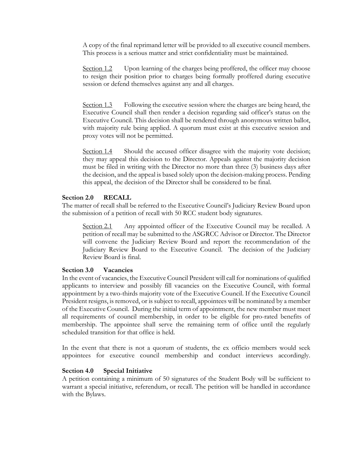A copy of the final reprimand letter will be provided to all executive council members. This process is a serious matter and strict confidentiality must be maintained.

Section 1.2 Upon learning of the charges being proffered, the officer may choose to resign their position prior to charges being formally proffered during executive session or defend themselves against any and all charges.

Section 1.3 Following the executive session where the charges are being heard, the Executive Council shall then render a decision regarding said officer's status on the Executive Council. This decision shall be rendered through anonymous written ballot, with majority rule being applied. A quorum must exist at this executive session and proxy votes will not be permitted.

Section 1.4 Should the accused officer disagree with the majority vote decision; they may appeal this decision to the Director. Appeals against the majority decision must be filed in writing with the Director no more than three (3) business days after the decision, and the appeal is based solely upon the decision-making process. Pending this appeal, the decision of the Director shall be considered to be final.

#### **Section 2.0 RECALL**

the submission of a petition of recall with 50 RCC student body signatures.<br>Section 2.1 Any appointed officer of the Executive Council may be recalled. A The matter of recall shall be referred to the Executive Council's Judiciary Review Board upon

 Judiciary Review Board to the Executive Council. The decision of the Judiciary Review Board is final. petition of recall may be submitted to the ASGRCC Advisor or Director. The Director will convene the Judiciary Review Board and report the recommendation of the

#### **Section 3.0 Vacancies**

 of the Executive Council. During the initial term of appointment, the new member must meet scheduled transition for that office is held. In the event of vacancies, the Executive Council President will call for nominations of qualified applicants to interview and possibly fill vacancies on the Executive Council, with formal appointment by a two-thirds majority vote of the Executive Council. If the Executive Council President resigns, is removed, or is subject to recall, appointees will be nominated by a member all requirements of council membership, in order to be eligible for pro-rated benefits of membership. The appointee shall serve the remaining term of office until the regularly

 appointees for executive council membership and conduct interviews accordingly. In the event that there is not a quorum of students, the ex officio members would seek

#### **Section 4.0 Special Initiative**

A petition containing a minimum of 50 signatures of the Student Body will be sufficient to warrant a special initiative, referendum, or recall. The petition will be handled in accordance with the Bylaws.